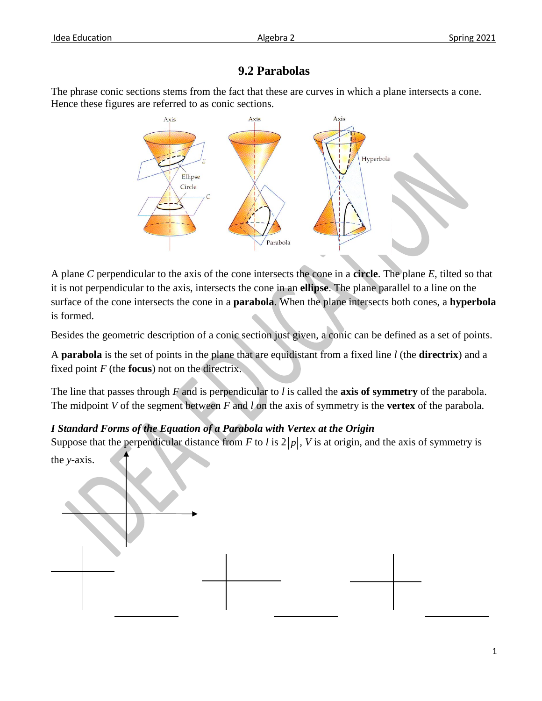## **9.2 Parabolas**

The phrase conic sections stems from the fact that these are curves in which a plane intersects a cone. Hence these figures are referred to as conic sections.



A plane *C* perpendicular to the axis of the cone intersects the cone in a **circle**. The plane *E*, tilted so that it is not perpendicular to the axis, intersects the cone in an **ellipse**. The plane parallel to a line on the surface of the cone intersects the cone in a **parabola**. When the plane intersects both cones, a **hyperbola** is formed.

Besides the geometric description of a conic section just given, a conic can be defined as a set of points.

A **parabola** is the set of points in the plane that are equidistant from a fixed line *l* (the **directrix**) and a fixed point *F* (the **focus**) not on the directrix.

The line that passes through *F* and is perpendicular to *l* is called the **axis of symmetry** of the parabola. The midpoint *V* of the segment between *F* and *l* on the axis of symmetry is the **vertex** of the parabola.

## *I Standard Forms of the Equation of a Parabola with Vertex at the Origin*

Suppose that the perpendicular distance from *F* to *l* is  $2|p|$ , *V* is at origin, and the axis of symmetry is the *y*-axis.